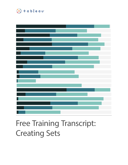

# Free Training Transcript: Creating Sets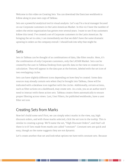Welcome to this video on Creating Sets. You can download the Exercises workbook to follow along in your own copy of Tableau.

Sets are a powerful analytical tool in visual analysis. Let's say I'm a local manager focused on our Corporate customers in the Latin American Market. In this viz I have the number of orders the entire organization has gotten over several years. I want to see if my customers follow this trend. I've created a set of Corporate customers in the Latin American. By bringing the set to color, I can immediately see that we didn't have the same dramatic upswing in orders as the company overall. I should look into why that might be.

#### Sets

Sets in Tableau can be thought of as combinations of data, like filter results. Here, it's the combination of only Corporate customers, only the LATAM Market. Sets can be created by the user in Tableau Desktop from specific data in the view or created via a calculation. They will appear in the data pan at the bottom, labeled with the set icon of two overlapping circles.

Sets can have slightly different icons depending on how they're created. Some data sources may already contain sets when they're brought into Tableau, these will be indicated with a database icon together with the circles. Additionally, certain actions, such as filter actions on a dashboard, may create sets. As a rule, you as an author won't need to interact with these action sets. Tableau creates them automatically to ensure proper filtering across views. Last, User Filters, for published workbooks, have a user filter set icon.

## Creating Sets from Marks

Now let's build some sets! First, we can simply select marks in the view, say, high discount orders, and with those marks selected, click the set icon in the tooltip. This is similar to creating a group. We'll name the set, "High Discount Orders", and that's all there is to it! Sets made from marks are called "constant". Constant sets are quick and easy, though as the name suggests they are not dynamic.

Let's create another that set and look what options we have with constant sets. Because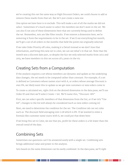we're creating this set the same way as High Discount Orders, we could choose to add or remove these marks from that set. But let's just create a new one.

One option we have here is to exclude. This will make a set of all the marks we did not select. Sometimes it's much easier to select the members we don't want in the set. We can also X out any of these dimensions here that are currently being used to define the set. Remember, sets are like filter results. If we remove a dimension here, we're removing it from the requirements to be in the set. If we X out everything but month, we'll get a set of all orders in the months that held the points we originally selected.

If we take Order Priority off color, making it a Detail instead so we don't lose that information, and bring this new set to color, we can see what's in that set. Note that the month was a discrete date part, so despite the fact we only selected marks from 2012 and 2013, we have members in this set across all 4 years in the viz.

## Creating Sets from a Computation

If the analysis requires a set whose members are dynamic and update as the underlying data changes, the set needs to be computed rather than constant. For example, if a set is defined as Customers whose names start with A, or orders whose average Discount is over 8%, we likely want this to update as we get new customers or new orders come in.

To create a calculated set, right click on the desired dimension in the data pane, we'll use Order ID and then we'll select Create > Set. We'll name this, "Discount >8%".

First, we can select specific members of that dimension from the list, or if we tick "Use All", changes to the list will always be considered (such as new orders coming in).

Next, we need to determine the condition for the set. The Condition tab can set rules such as: The discount field averaging over 0.08 which is 8%. If we wanted to enter a formula like customer name starts with A, we could put that down here.

If we bring this set to Color, we see that yes, profit for these orders is a bit lower than the overall trend of the data.

## Combining Sets

Sometimes our questions can't be answered easily with a single set. Combining sets brings additional value and power to the analysis.

Sets based on the same dimension can be easily combined. In the data pane, we'll right